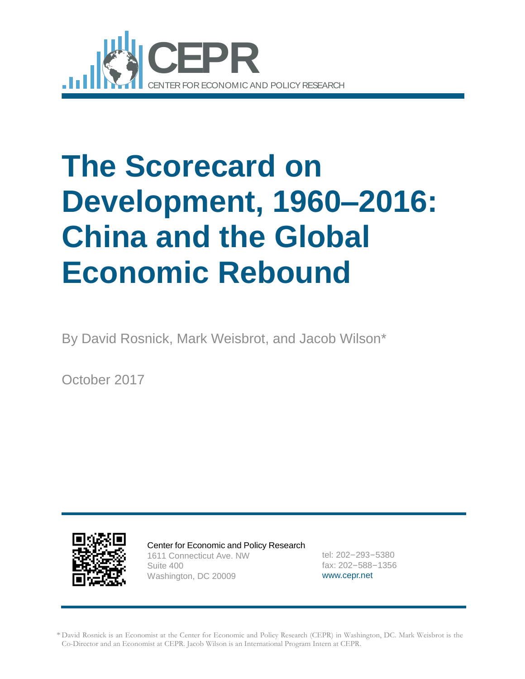

# **The Scorecard on Development, 1960–2016: China and the Global Economic Rebound**

By David Rosnick, Mark Weisbrot, and Jacob Wilson\*

October 2017



Center for Economic and Policy Research 1611 Connecticut Ave. NW Suite 400 Washington, DC 20009

tel: 202–293–5380 fax: 202–588–1356 [www.cepr.net](http://www.cepr.net/)

\* David Rosnick is an Economist at the Center for Economic and Policy Research (CEPR) in Washington, DC. Mark Weisbrot is the Co-Director and an Economist at CEPR. Jacob Wilson is an International Program Intern at CEPR.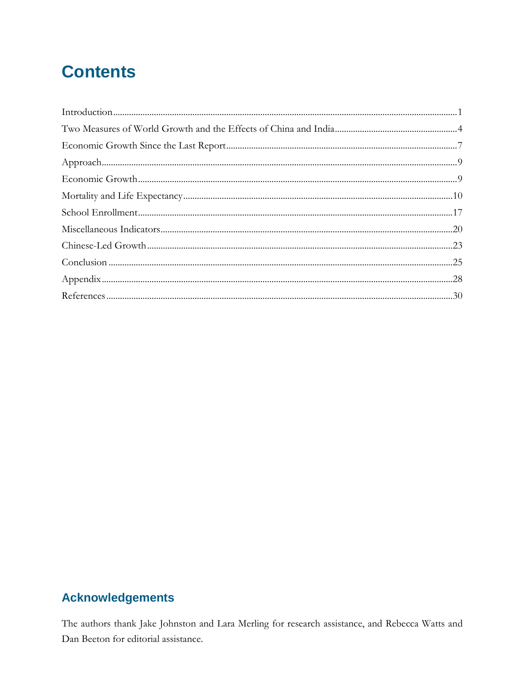## **Contents**

### **Acknowledgements**

The authors thank Jake Johnston and Lara Merling for research assistance, and Rebecca Watts and Dan Beeton for editorial assistance.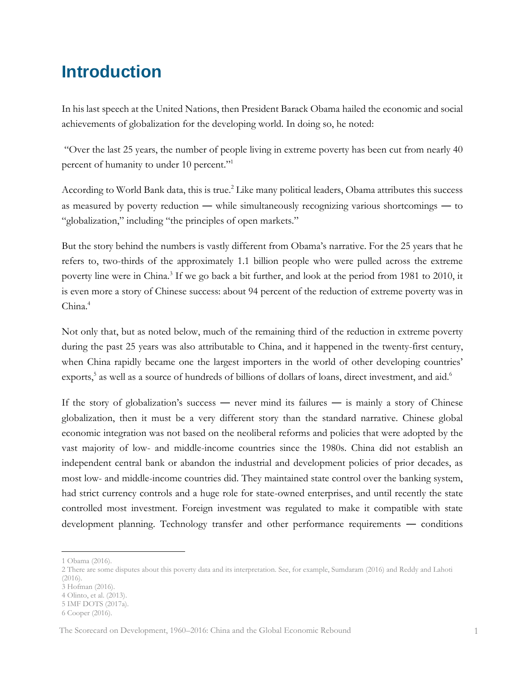### <span id="page-2-0"></span>**Introduction**

In his last speech at the United Nations, then President Barack Obama hailed the economic and social achievements of globalization for the developing world. In doing so, he noted:

"Over the last 25 years, the number of people living in extreme poverty has been cut from nearly 40 percent of humanity to under 10 percent."<sup>1</sup>

According to World Bank data, this is true.<sup>2</sup> Like many political leaders, Obama attributes this success as measured by poverty reduction ― while simultaneously recognizing various shortcomings ― to "globalization," including "the principles of open markets."

But the story behind the numbers is vastly different from Obama's narrative. For the 25 years that he refers to, two-thirds of the approximately 1.1 billion people who were pulled across the extreme poverty line were in China.<sup>3</sup> If we go back a bit further, and look at the period from 1981 to 2010, it is even more a story of Chinese success: about 94 percent of the reduction of extreme poverty was in China.<sup>4</sup>

Not only that, but as noted below, much of the remaining third of the reduction in extreme poverty during the past 25 years was also attributable to China, and it happened in the twenty-first century, when China rapidly became one the largest importers in the world of other developing countries' exports,<sup>5</sup> as well as a source of hundreds of billions of dollars of loans, direct investment, and aid.<sup>6</sup>

If the story of globalization's success — never mind its failures — is mainly a story of Chinese globalization, then it must be a very different story than the standard narrative. Chinese global economic integration was not based on the neoliberal reforms and policies that were adopted by the vast majority of low- and middle-income countries since the 1980s. China did not establish an independent central bank or abandon the industrial and development policies of prior decades, as most low- and middle-income countries did. They maintained state control over the banking system, had strict currency controls and a huge role for state-owned enterprises, and until recently the state controlled most investment. Foreign investment was regulated to make it compatible with state development planning. Technology transfer and other performance requirements ― conditions

<sup>1</sup> Obama (2016).

<sup>2</sup> There are some disputes about this poverty data and its interpretation. See, for example, Sumdaram (2016) and Reddy and Lahoti (2016).

<sup>3</sup> Hofman (2016).

<sup>4</sup> Olinto, et al. (2013).

<sup>5</sup> IMF DOTS (2017a).

<sup>6</sup> Cooper (2016).

The Scorecard on Development, 1960–2016: China and the Global Economic Rebound 1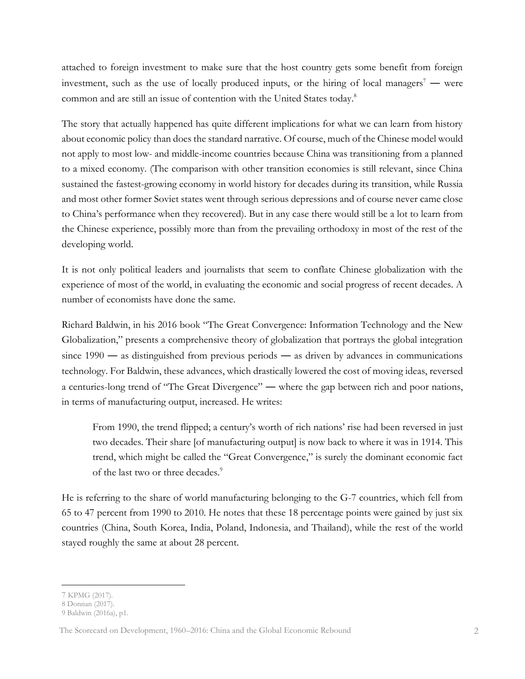attached to foreign investment to make sure that the host country gets some benefit from foreign investment, such as the use of locally produced inputs, or the hiring of local managers<sup>7</sup> — were common and are still an issue of contention with the United States today.<sup>8</sup>

The story that actually happened has quite different implications for what we can learn from history about economic policy than does the standard narrative. Of course, much of the Chinese model would not apply to most low- and middle-income countries because China was transitioning from a planned to a mixed economy. (The comparison with other transition economies is still relevant, since China sustained the fastest-growing economy in world history for decades during its transition, while Russia and most other former Soviet states went through serious depressions and of course never came close to China's performance when they recovered). But in any case there would still be a lot to learn from the Chinese experience, possibly more than from the prevailing orthodoxy in most of the rest of the developing world.

It is not only political leaders and journalists that seem to conflate Chinese globalization with the experience of most of the world, in evaluating the economic and social progress of recent decades. A number of economists have done the same.

Richard Baldwin, in his 2016 book "The Great Convergence: Information Technology and the New Globalization," presents a comprehensive theory of globalization that portrays the global integration since  $1990 -$  as distinguished from previous periods — as driven by advances in communications technology. For Baldwin, these advances, which drastically lowered the cost of moving ideas, reversed a centuries-long trend of "The Great Divergence" ― where the gap between rich and poor nations, in terms of manufacturing output, increased. He writes:

From 1990, the trend flipped; a century's worth of rich nations' rise had been reversed in just two decades. Their share [of manufacturing output] is now back to where it was in 1914. This trend, which might be called the "Great Convergence," is surely the dominant economic fact of the last two or three decades.<sup>9</sup>

He is referring to the share of world manufacturing belonging to the G-7 countries, which fell from 65 to 47 percent from 1990 to 2010. He notes that these 18 percentage points were gained by just six countries (China, South Korea, India, Poland, Indonesia, and Thailand), while the rest of the world stayed roughly the same at about 28 percent.

<sup>7</sup> KPMG (2017).

<sup>8</sup> Donnan (2017).

<sup>9</sup> Baldwin (2016a), p1.

The Scorecard on Development, 1960–2016: China and the Global Economic Rebound 2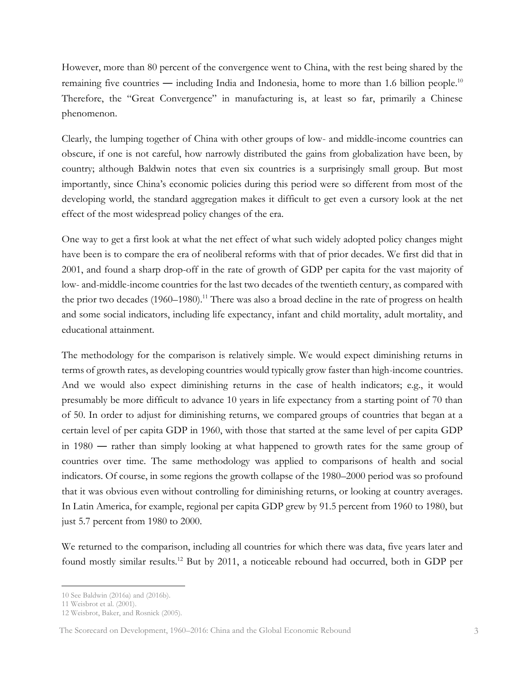However, more than 80 percent of the convergence went to China, with the rest being shared by the remaining five countries — including India and Indonesia, home to more than 1.6 billion people.<sup>10</sup> Therefore, the "Great Convergence" in manufacturing is, at least so far, primarily a Chinese phenomenon.

Clearly, the lumping together of China with other groups of low- and middle-income countries can obscure, if one is not careful, how narrowly distributed the gains from globalization have been, by country; although Baldwin notes that even six countries is a surprisingly small group. But most importantly, since China's economic policies during this period were so different from most of the developing world, the standard aggregation makes it difficult to get even a cursory look at the net effect of the most widespread policy changes of the era.

One way to get a first look at what the net effect of what such widely adopted policy changes might have been is to compare the era of neoliberal reforms with that of prior decades. We first did that in 2001, and found a sharp drop-off in the rate of growth of GDP per capita for the vast majority of low- and-middle-income countries for the last two decades of the twentieth century, as compared with the prior two decades (1960–1980).<sup>11</sup> There was also a broad decline in the rate of progress on health and some social indicators, including life expectancy, infant and child mortality, adult mortality, and educational attainment.

The methodology for the comparison is relatively simple. We would expect diminishing returns in terms of growth rates, as developing countries would typically grow faster than high-income countries. And we would also expect diminishing returns in the case of health indicators; e.g., it would presumably be more difficult to advance 10 years in life expectancy from a starting point of 70 than of 50. In order to adjust for diminishing returns, we compared groups of countries that began at a certain level of per capita GDP in 1960, with those that started at the same level of per capita GDP in 1980 ― rather than simply looking at what happened to growth rates for the same group of countries over time. The same methodology was applied to comparisons of health and social indicators. Of course, in some regions the growth collapse of the 1980–2000 period was so profound that it was obvious even without controlling for diminishing returns, or looking at country averages. In Latin America, for example, regional per capita GDP grew by 91.5 percent from 1960 to 1980, but just 5.7 percent from 1980 to 2000.

We returned to the comparison, including all countries for which there was data, five years later and found mostly similar results.<sup>12</sup> But by 2011, a noticeable rebound had occurred, both in GDP per

 $\overline{a}$ 10 See Baldwin (2016a) and (2016b).

<sup>11</sup> Weisbrot et al. (2001).

<sup>12</sup> Weisbrot, Baker, and Rosnick (2005).

The Scorecard on Development, 1960–2016: China and the Global Economic Rebound 3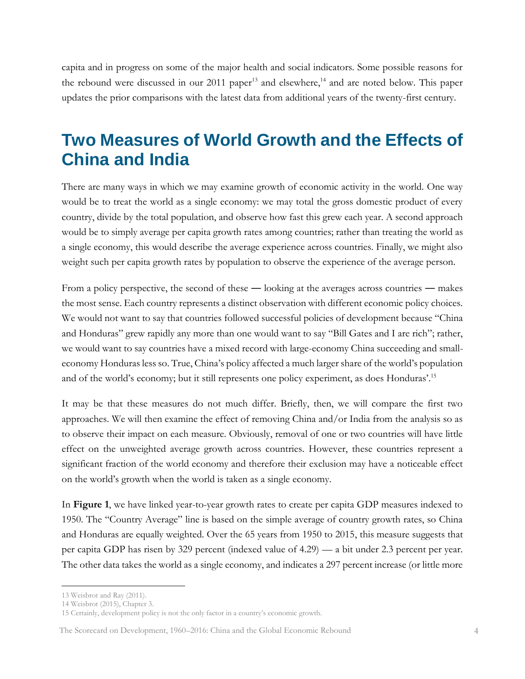capita and in progress on some of the major health and social indicators. Some possible reasons for the rebound were discussed in our 2011 paper<sup>13</sup> and elsewhere,<sup>14</sup> and are noted below. This paper updates the prior comparisons with the latest data from additional years of the twenty-first century.

### <span id="page-5-0"></span>**Two Measures of World Growth and the Effects of China and India**

There are many ways in which we may examine growth of economic activity in the world. One way would be to treat the world as a single economy: we may total the gross domestic product of every country, divide by the total population, and observe how fast this grew each year. A second approach would be to simply average per capita growth rates among countries; rather than treating the world as a single economy, this would describe the average experience across countries. Finally, we might also weight such per capita growth rates by population to observe the experience of the average person.

From a policy perspective, the second of these — looking at the averages across countries — makes the most sense. Each country represents a distinct observation with different economic policy choices. We would not want to say that countries followed successful policies of development because "China and Honduras" grew rapidly any more than one would want to say "Bill Gates and I are rich"; rather, we would want to say countries have a mixed record with large-economy China succeeding and smalleconomy Honduras less so. True, China's policy affected a much larger share of the world's population and of the world's economy; but it still represents one policy experiment, as does Honduras'. 15

It may be that these measures do not much differ. Briefly, then, we will compare the first two approaches. We will then examine the effect of removing China and/or India from the analysis so as to observe their impact on each measure. Obviously, removal of one or two countries will have little effect on the unweighted average growth across countries. However, these countries represent a significant fraction of the world economy and therefore their exclusion may have a noticeable effect on the world's growth when the world is taken as a single economy.

In **Figure 1**, we have linked year-to-year growth rates to create per capita GDP measures indexed to 1950. The "Country Average" line is based on the simple average of country growth rates, so China and Honduras are equally weighted. Over the 65 years from 1950 to 2015, this measure suggests that per capita GDP has risen by 329 percent (indexed value of 4.29) — a bit under 2.3 percent per year. The other data takes the world as a single economy, and indicates a 297 percent increase (or little more

<sup>13</sup> Weisbrot and Ray (2011).

<sup>14</sup> Weisbrot (2015), Chapter 3.

<sup>15</sup> Certainly, development policy is not the only factor in a country's economic growth.

The Scorecard on Development, 1960–2016: China and the Global Economic Rebound 4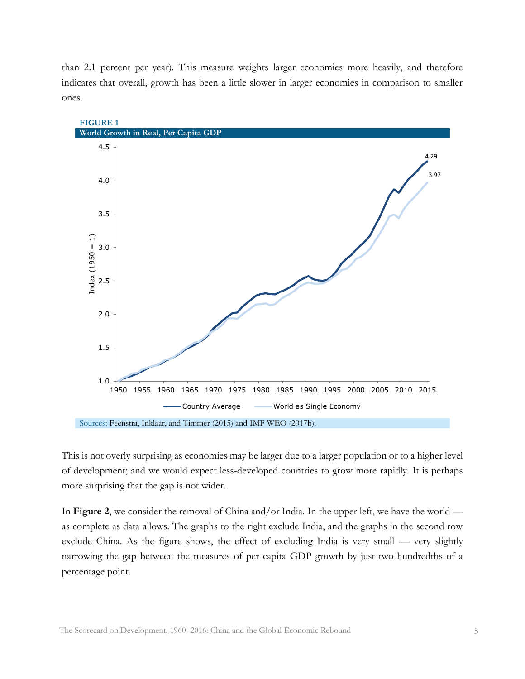than 2.1 percent per year). This measure weights larger economies more heavily, and therefore indicates that overall, growth has been a little slower in larger economies in comparison to smaller ones.



This is not overly surprising as economies may be larger due to a larger population or to a higher level of development; and we would expect less-developed countries to grow more rapidly. It is perhaps more surprising that the gap is not wider.

In **Figure 2**, we consider the removal of China and/or India. In the upper left, we have the world as complete as data allows. The graphs to the right exclude India, and the graphs in the second row exclude China. As the figure shows, the effect of excluding India is very small — very slightly narrowing the gap between the measures of per capita GDP growth by just two-hundredths of a percentage point.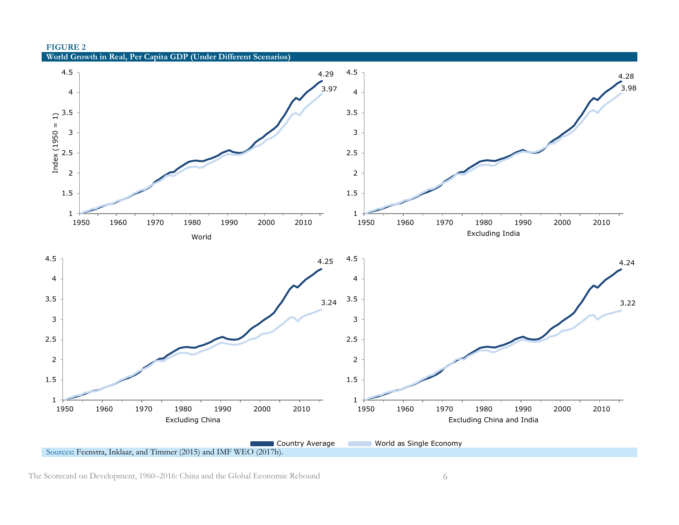

The Scorecard on Development, 1960–2016: China and the Global Economic Rebound 6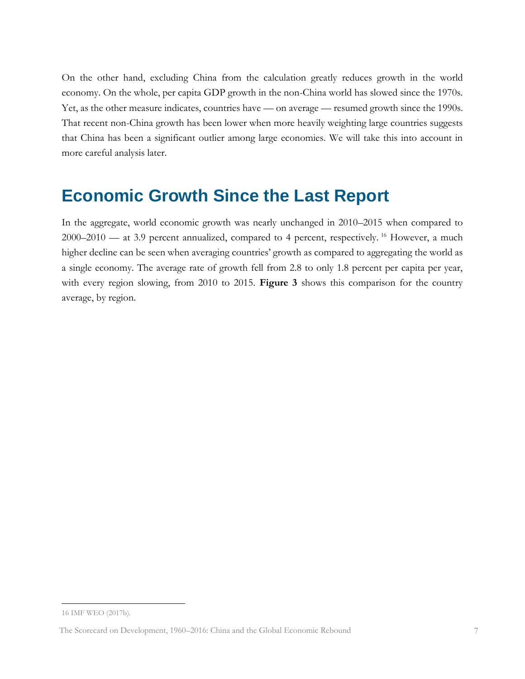On the other hand, excluding China from the calculation greatly reduces growth in the world economy. On the whole, per capita GDP growth in the non-China world has slowed since the 1970s. Yet, as the other measure indicates, countries have — on average — resumed growth since the 1990s. That recent non-China growth has been lower when more heavily weighting large countries suggests that China has been a significant outlier among large economies. We will take this into account in more careful analysis later.

### <span id="page-8-0"></span>**Economic Growth Since the Last Report**

In the aggregate, world economic growth was nearly unchanged in 2010–2015 when compared to 2000–2010 — at 3.9 percent annualized, compared to 4 percent, respectively. <sup>16</sup> However, a much higher decline can be seen when averaging countries' growth as compared to aggregating the world as a single economy. The average rate of growth fell from 2.8 to only 1.8 percent per capita per year, with every region slowing, from 2010 to 2015. **Figure 3** shows this comparison for the country average, by region.

<sup>16</sup> IMF WEO (2017b).

The Scorecard on Development, 1960–2016: China and the Global Economic Rebound 7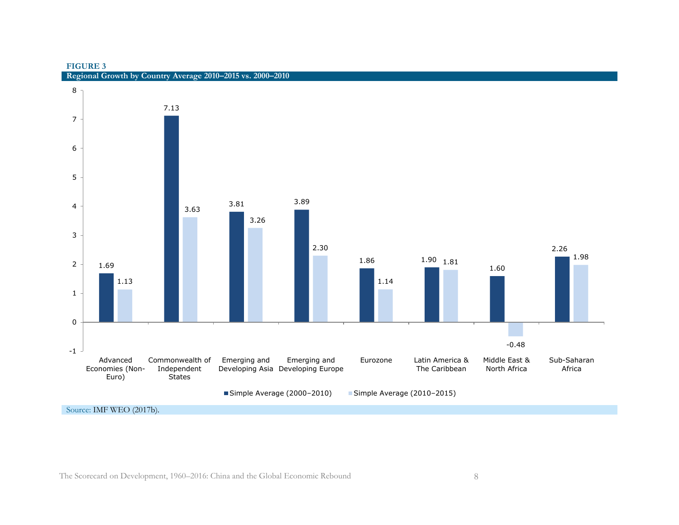#### **FIGURE 3**



**Regional Growth by Country Average 2010–2015 vs. 2000–2010**

Source: IMF WEO (2017b).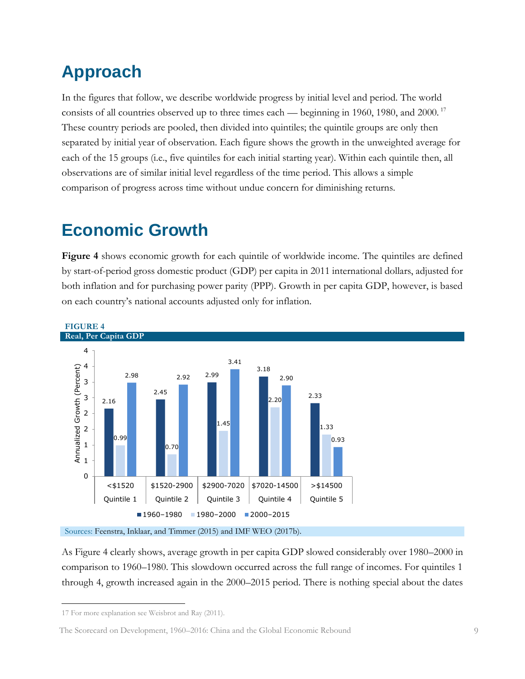## <span id="page-10-0"></span>**Approach**

In the figures that follow, we describe worldwide progress by initial level and period. The world consists of all countries observed up to three times each — beginning in 1960, 1980, and 2000.<sup>17</sup> These country periods are pooled, then divided into quintiles; the quintile groups are only then separated by initial year of observation. Each figure shows the growth in the unweighted average for each of the 15 groups (i.e., five quintiles for each initial starting year). Within each quintile then, all observations are of similar initial level regardless of the time period. This allows a simple comparison of progress across time without undue concern for diminishing returns.

## <span id="page-10-1"></span>**Economic Growth**

**Figure 4** shows economic growth for each quintile of worldwide income. The quintiles are defined by start-of-period gross domestic product (GDP) per capita in 2011 international dollars, adjusted for both inflation and for purchasing power parity (PPP). Growth in per capita GDP, however, is based on each country's national accounts adjusted only for inflation.



Sources: Feenstra, Inklaar, and Timmer (2015) and IMF WEO (2017b).

As Figure 4 clearly shows, average growth in per capita GDP slowed considerably over 1980–2000 in comparison to 1960–1980. This slowdown occurred across the full range of incomes. For quintiles 1 through 4, growth increased again in the 2000–2015 period. There is nothing special about the dates

 $\overline{a}$ 

The Scorecard on Development, 1960–2016: China and the Global Economic Rebound 9

<sup>17</sup> For more explanation see Weisbrot and Ray (2011).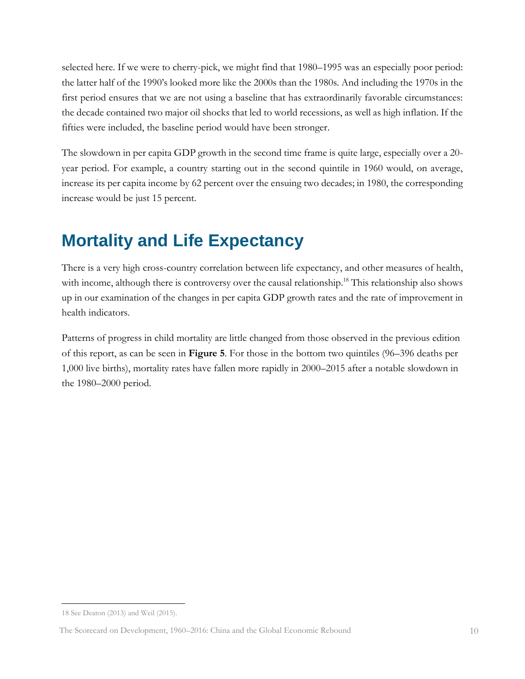selected here. If we were to cherry-pick, we might find that 1980–1995 was an especially poor period: the latter half of the 1990's looked more like the 2000s than the 1980s. And including the 1970s in the first period ensures that we are not using a baseline that has extraordinarily favorable circumstances: the decade contained two major oil shocks that led to world recessions, as well as high inflation. If the fifties were included, the baseline period would have been stronger.

The slowdown in per capita GDP growth in the second time frame is quite large, especially over a 20 year period. For example, a country starting out in the second quintile in 1960 would, on average, increase its per capita income by 62 percent over the ensuing two decades; in 1980, the corresponding increase would be just 15 percent.

## <span id="page-11-0"></span>**Mortality and Life Expectancy**

There is a very high cross-country correlation between life expectancy, and other measures of health, with income, although there is controversy over the causal relationship.<sup>18</sup> This relationship also shows up in our examination of the changes in per capita GDP growth rates and the rate of improvement in health indicators.

Patterns of progress in child mortality are little changed from those observed in the previous edition of this report, as can be seen in **Figure 5**. For those in the bottom two quintiles (96–396 deaths per 1,000 live births), mortality rates have fallen more rapidly in 2000–2015 after a notable slowdown in the 1980–2000 period.

 $\overline{a}$ 18 See Deaton (2013) and Weil (2015).

The Scorecard on Development, 1960–2016: China and the Global Economic Rebound 10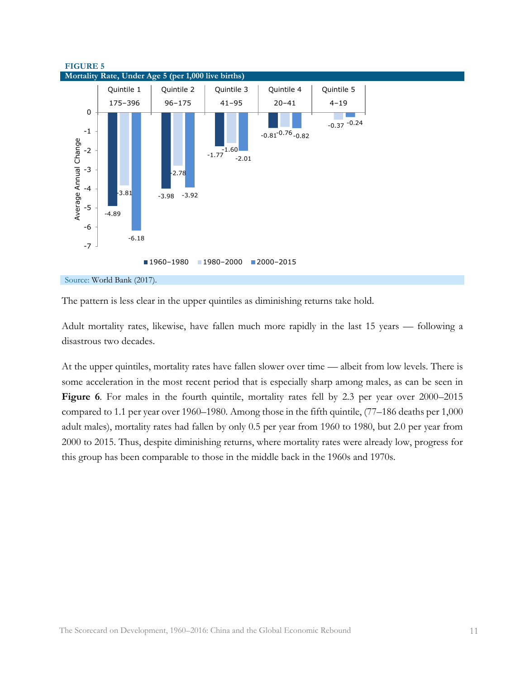

The pattern is less clear in the upper quintiles as diminishing returns take hold.

Adult mortality rates, likewise, have fallen much more rapidly in the last 15 years — following a disastrous two decades.

At the upper quintiles, mortality rates have fallen slower over time — albeit from low levels. There is some acceleration in the most recent period that is especially sharp among males, as can be seen in Figure 6. For males in the fourth quintile, mortality rates fell by 2.3 per year over 2000–2015 compared to 1.1 per year over 1960–1980. Among those in the fifth quintile, (77–186 deaths per 1,000 adult males), mortality rates had fallen by only 0.5 per year from 1960 to 1980, but 2.0 per year from 2000 to 2015. Thus, despite diminishing returns, where mortality rates were already low, progress for this group has been comparable to those in the middle back in the 1960s and 1970s.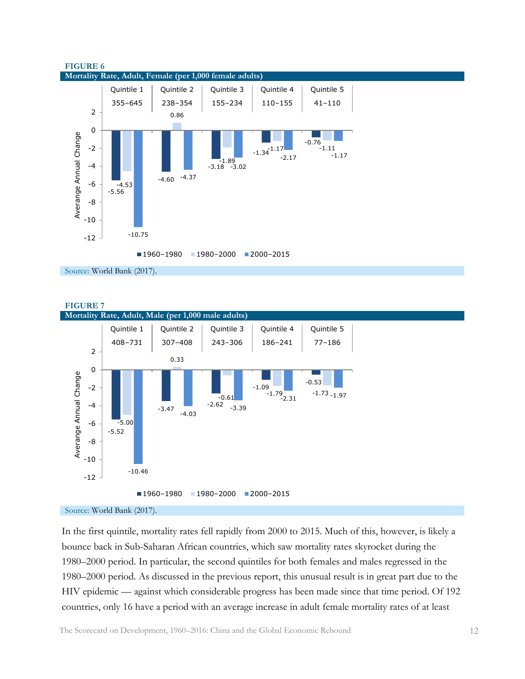

Source: World Bank (2017).



Source: World Bank (2017).

In the first quintile, mortality rates fell rapidly from 2000 to 2015. Much of this, however, is likely a bounce back in Sub-Saharan African countries, which saw mortality rates skyrocket during the 1980–2000 period. In particular, the second quintiles for both females and males regressed in the 1980–2000 period. As discussed in the previous report, this unusual result is in great part due to the HIV epidemic — against which considerable progress has been made since that time period. Of 192 countries, only 16 have a period with an average increase in adult female mortality rates of at least

The Scorecard on Development, 1960–2016: China and the Global Economic Rebound 12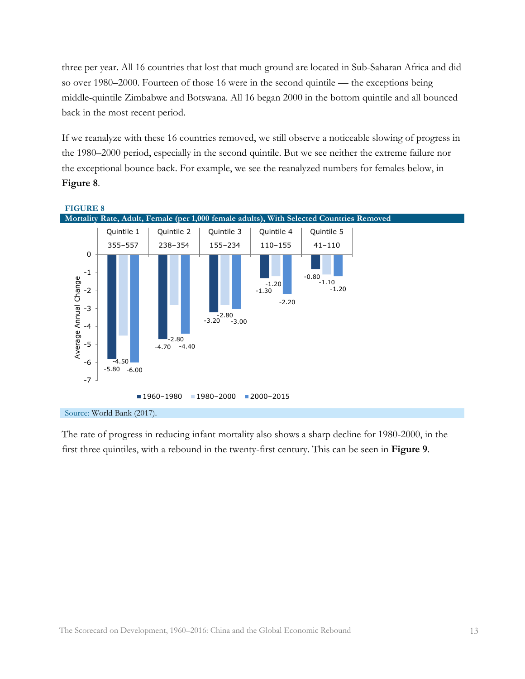three per year. All 16 countries that lost that much ground are located in Sub-Saharan Africa and did so over 1980–2000. Fourteen of those 16 were in the second quintile — the exceptions being middle-quintile Zimbabwe and Botswana. All 16 began 2000 in the bottom quintile and all bounced back in the most recent period.

If we reanalyze with these 16 countries removed, we still observe a noticeable slowing of progress in the 1980–2000 period, especially in the second quintile. But we see neither the extreme failure nor the exceptional bounce back. For example, we see the reanalyzed numbers for females below, in **Figure 8**.



The rate of progress in reducing infant mortality also shows a sharp decline for 1980-2000, in the first three quintiles, with a rebound in the twenty-first century. This can be seen in **Figure 9**.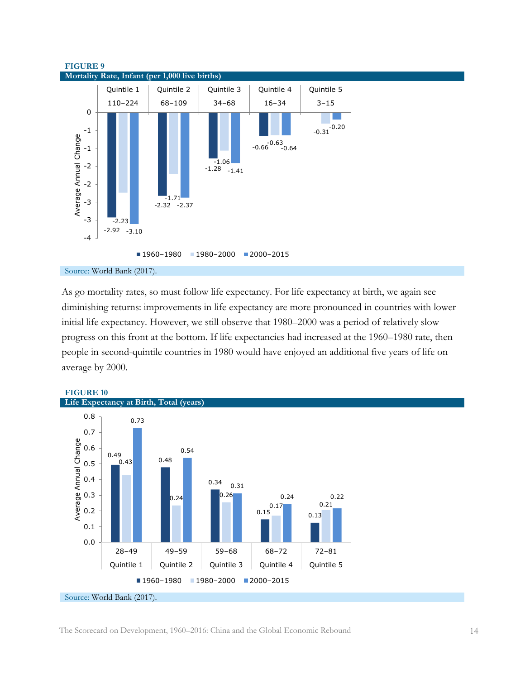



As go mortality rates, so must follow life expectancy. For life expectancy at birth, we again see diminishing returns: improvements in life expectancy are more pronounced in countries with lower initial life expectancy. However, we still observe that 1980–2000 was a period of relatively slow progress on this front at the bottom. If life expectancies had increased at the 1960–1980 rate, then people in second-quintile countries in 1980 would have enjoyed an additional five years of life on average by 2000.

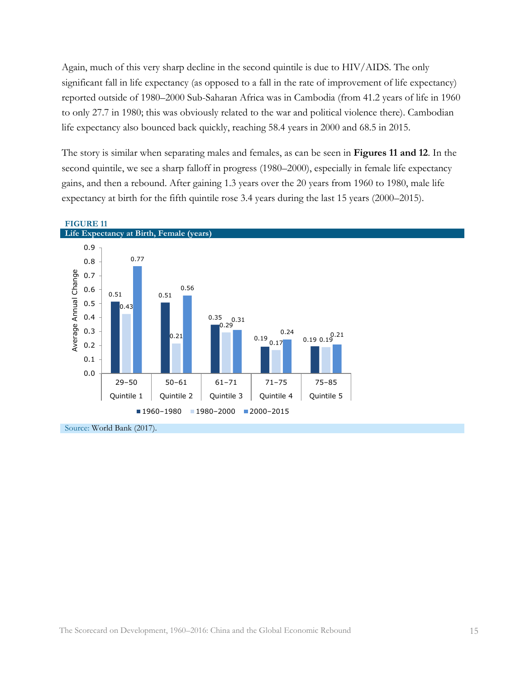Again, much of this very sharp decline in the second quintile is due to HIV/AIDS. The only significant fall in life expectancy (as opposed to a fall in the rate of improvement of life expectancy) reported outside of 1980–2000 Sub-Saharan Africa was in Cambodia (from 41.2 years of life in 1960 to only 27.7 in 1980; this was obviously related to the war and political violence there). Cambodian life expectancy also bounced back quickly, reaching 58.4 years in 2000 and 68.5 in 2015.

The story is similar when separating males and females, as can be seen in **Figures 11 and 12**. In the second quintile, we see a sharp falloff in progress (1980–2000), especially in female life expectancy gains, and then a rebound. After gaining 1.3 years over the 20 years from 1960 to 1980, male life expectancy at birth for the fifth quintile rose 3.4 years during the last 15 years (2000–2015).



### The Scorecard on Development, 1960–2016: China and the Global Economic Rebound 15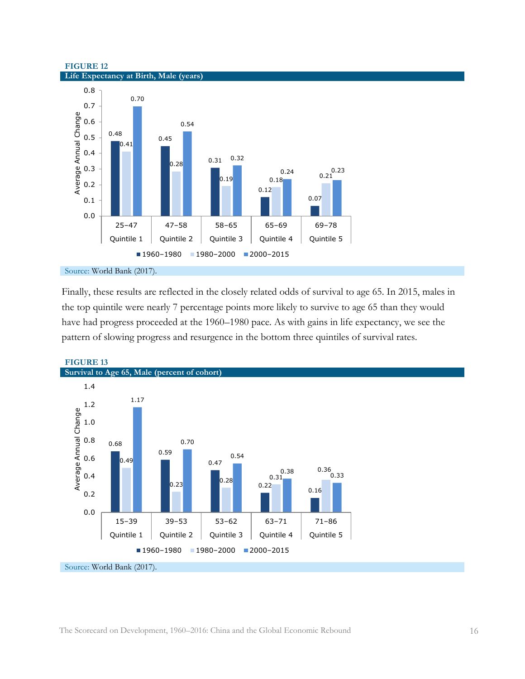### **FIGURE 12 Life Expectancy at Birth, Male (years)**



### Source: World Bank (2017).

Finally, these results are reflected in the closely related odds of survival to age 65. In 2015, males in the top quintile were nearly 7 percentage points more likely to survive to age 65 than they would have had progress proceeded at the 1960–1980 pace. As with gains in life expectancy, we see the pattern of slowing progress and resurgence in the bottom three quintiles of survival rates.



### **FIGURE 13**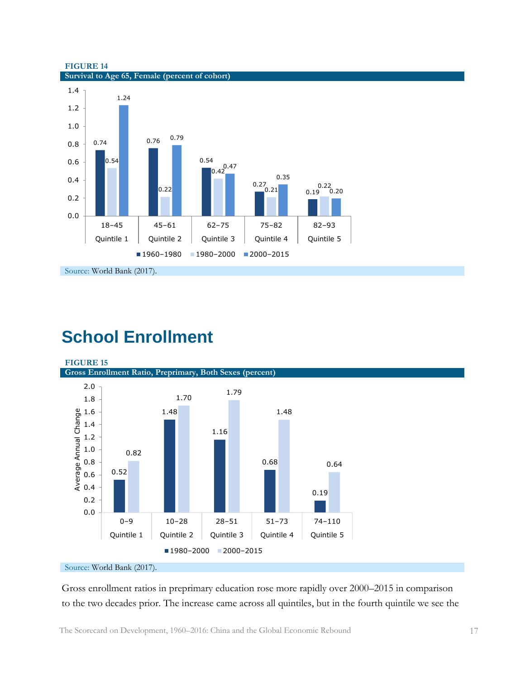

**FIGURE 14 Survival to Age 65, Female (percent of cohort)**

## <span id="page-18-0"></span>**School Enrollment**

**FIGURE 15**

**Gross Enrollment Ratio, Preprimary, Both Sexes (percent)**



### Source: World Bank (2017).

Gross enrollment ratios in preprimary education rose more rapidly over 2000–2015 in comparison to the two decades prior. The increase came across all quintiles, but in the fourth quintile we see the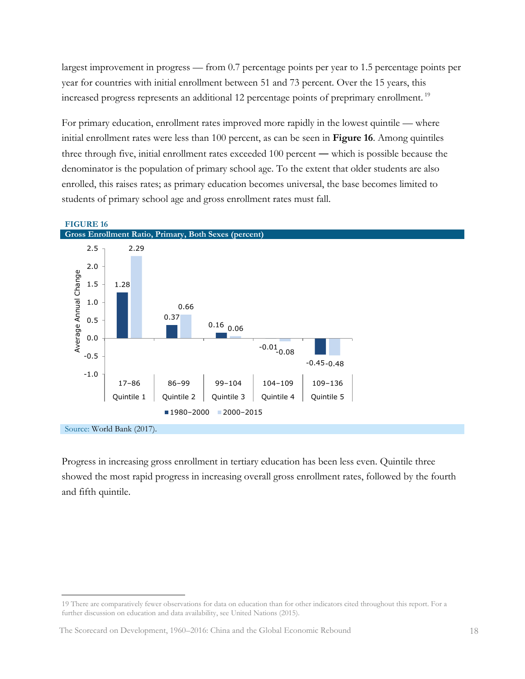largest improvement in progress — from 0.7 percentage points per year to 1.5 percentage points per year for countries with initial enrollment between 51 and 73 percent. Over the 15 years, this increased progress represents an additional 12 percentage points of preprimary enrollment. 19

For primary education, enrollment rates improved more rapidly in the lowest quintile — where initial enrollment rates were less than 100 percent, as can be seen in **Figure 16**. Among quintiles three through five, initial enrollment rates exceeded 100 percent ― which is possible because the denominator is the population of primary school age. To the extent that older students are also enrolled, this raises rates; as primary education becomes universal, the base becomes limited to students of primary school age and gross enrollment rates must fall.



Progress in increasing gross enrollment in tertiary education has been less even. Quintile three showed the most rapid progress in increasing overall gross enrollment rates, followed by the fourth and fifth quintile.

<sup>19</sup> There are comparatively fewer observations for data on education than for other indicators cited throughout this report. For a further discussion on education and data availability, see United Nations (2015).

The Scorecard on Development, 1960–2016: China and the Global Economic Rebound 18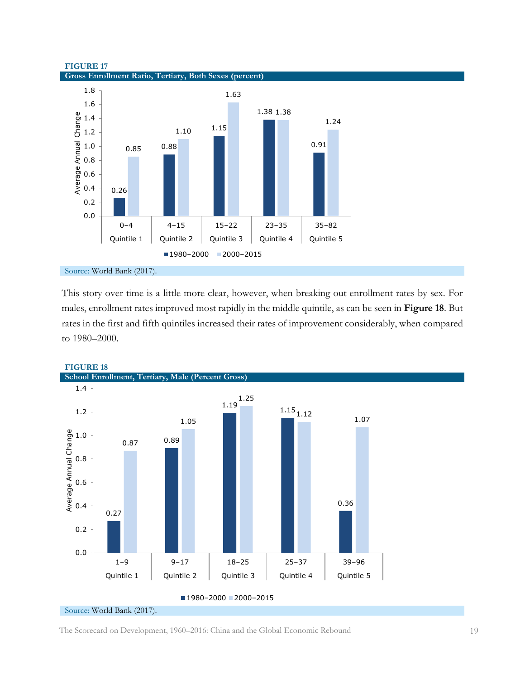



### Source: World Bank (2017).

This story over time is a little more clear, however, when breaking out enrollment rates by sex. For males, enrollment rates improved most rapidly in the middle quintile, as can be seen in **Figure 18**. But rates in the first and fifth quintiles increased their rates of improvement considerably, when compared to 1980–2000.



### **FIGURE 18**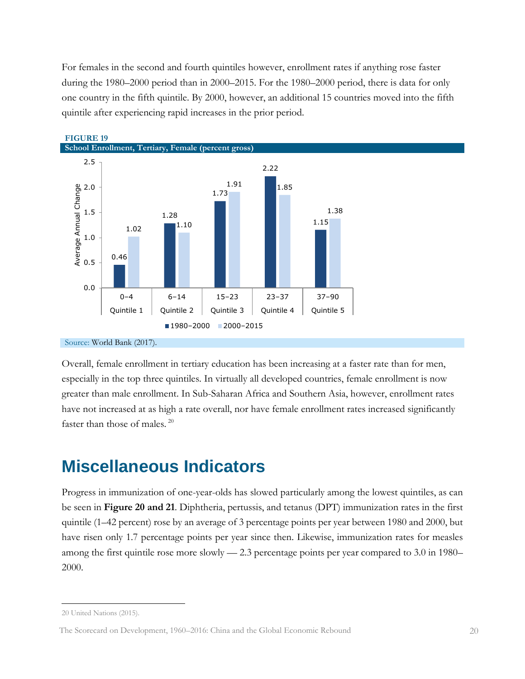For females in the second and fourth quintiles however, enrollment rates if anything rose faster during the 1980–2000 period than in 2000–2015. For the 1980–2000 period, there is data for only one country in the fifth quintile. By 2000, however, an additional 15 countries moved into the fifth quintile after experiencing rapid increases in the prior period.



**FIGURE 19**

Source: World Bank (2017).

Overall, female enrollment in tertiary education has been increasing at a faster rate than for men, especially in the top three quintiles. In virtually all developed countries, female enrollment is now greater than male enrollment. In Sub-Saharan Africa and Southern Asia, however, enrollment rates have not increased at as high a rate overall, nor have female enrollment rates increased significantly faster than those of males. <sup>20</sup>

### <span id="page-21-0"></span>**Miscellaneous Indicators**

Progress in immunization of one-year-olds has slowed particularly among the lowest quintiles, as can be seen in **Figure 20 and 21**. Diphtheria, pertussis, and tetanus (DPT) immunization rates in the first quintile (1–42 percent) rose by an average of 3 percentage points per year between 1980 and 2000, but have risen only 1.7 percentage points per year since then. Likewise, immunization rates for measles among the first quintile rose more slowly — 2.3 percentage points per year compared to 3.0 in 1980– 2000.

<sup>20</sup> United Nations (2015).

The Scorecard on Development, 1960–2016: China and the Global Economic Rebound 20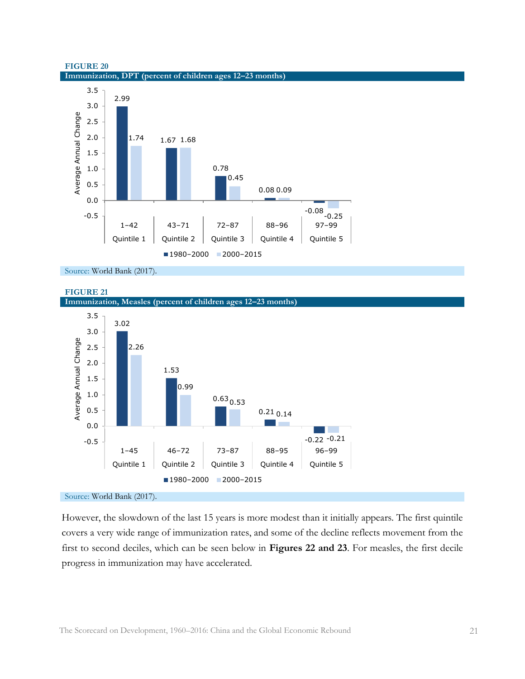



Source: World Bank (2017).





Source: World Bank (2017).

However, the slowdown of the last 15 years is more modest than it initially appears. The first quintile covers a very wide range of immunization rates, and some of the decline reflects movement from the first to second deciles, which can be seen below in **Figures 22 and 23**. For measles, the first decile progress in immunization may have accelerated.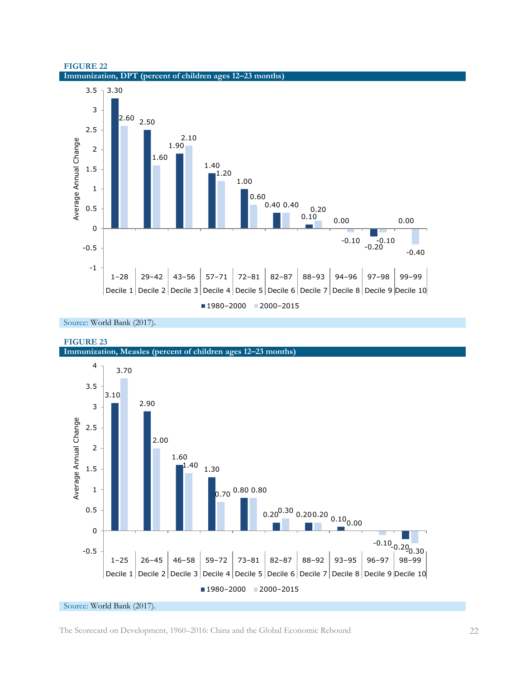



Source: World Bank (2017).



Source: World Bank (2017).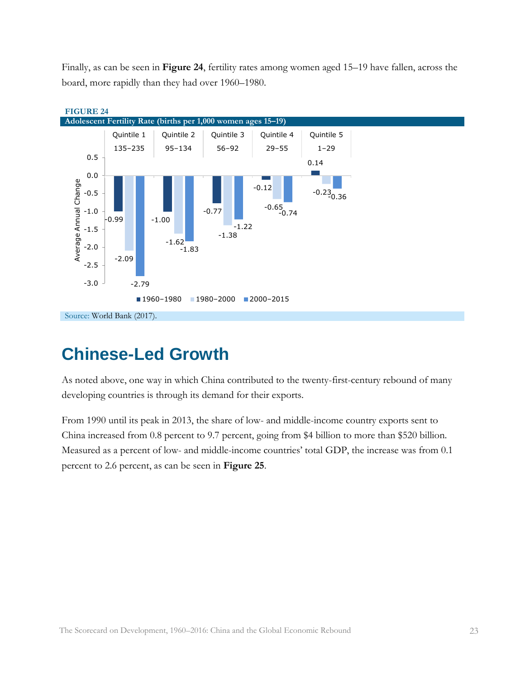Finally, as can be seen in **Figure 24**, fertility rates among women aged 15–19 have fallen, across the board, more rapidly than they had over 1960–1980.



## <span id="page-24-0"></span>**Chinese-Led Growth**

As noted above, one way in which China contributed to the twenty-first-century rebound of many developing countries is through its demand for their exports.

From 1990 until its peak in 2013, the share of low- and middle-income country exports sent to China increased from 0.8 percent to 9.7 percent, going from \$4 billion to more than \$520 billion. Measured as a percent of low- and middle-income countries' total GDP, the increase was from 0.1 percent to 2.6 percent, as can be seen in **Figure 25**.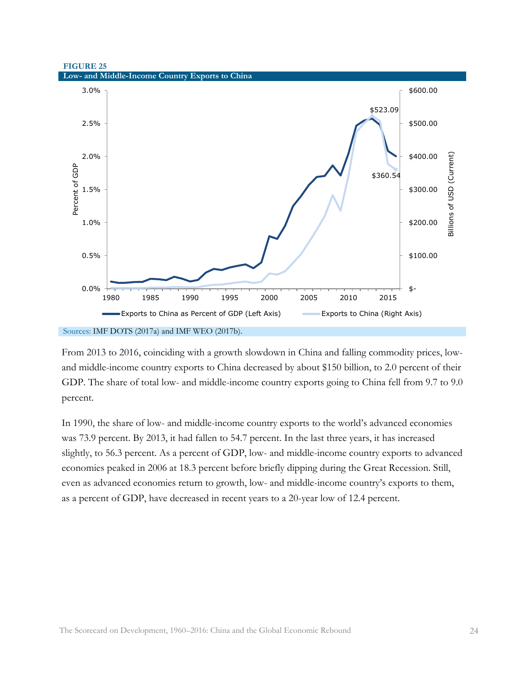### **FIGURE 25 Low- and Middle-Income Country Exports to China**



From 2013 to 2016, coinciding with a growth slowdown in China and falling commodity prices, lowand middle-income country exports to China decreased by about \$150 billion, to 2.0 percent of their GDP. The share of total low- and middle-income country exports going to China fell from 9.7 to 9.0 percent.

In 1990, the share of low- and middle-income country exports to the world's advanced economies was 73.9 percent. By 2013, it had fallen to 54.7 percent. In the last three years, it has increased slightly, to 56.3 percent. As a percent of GDP, low- and middle-income country exports to advanced economies peaked in 2006 at 18.3 percent before briefly dipping during the Great Recession. Still, even as advanced economies return to growth, low- and middle-income country's exports to them, as a percent of GDP, have decreased in recent years to a 20-year low of 12.4 percent.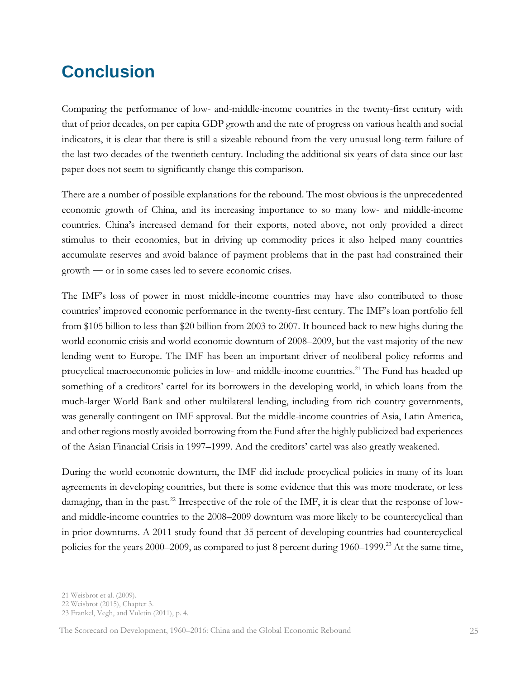## <span id="page-26-0"></span>**Conclusion**

Comparing the performance of low- and-middle-income countries in the twenty-first century with that of prior decades, on per capita GDP growth and the rate of progress on various health and social indicators, it is clear that there is still a sizeable rebound from the very unusual long-term failure of the last two decades of the twentieth century. Including the additional six years of data since our last paper does not seem to significantly change this comparison.

There are a number of possible explanations for the rebound. The most obvious is the unprecedented economic growth of China, and its increasing importance to so many low- and middle-income countries. China's increased demand for their exports, noted above, not only provided a direct stimulus to their economies, but in driving up commodity prices it also helped many countries accumulate reserves and avoid balance of payment problems that in the past had constrained their growth ― or in some cases led to severe economic crises.

The IMF's loss of power in most middle-income countries may have also contributed to those countries' improved economic performance in the twenty-first century. The IMF's loan portfolio fell from \$105 billion to less than \$20 billion from 2003 to 2007. It bounced back to new highs during the world economic crisis and world economic downturn of 2008–2009, but the vast majority of the new lending went to Europe. The IMF has been an important driver of neoliberal policy reforms and procyclical macroeconomic policies in low- and middle-income countries.<sup>21</sup> The Fund has headed up something of a creditors' cartel for its borrowers in the developing world, in which loans from the much-larger World Bank and other multilateral lending, including from rich country governments, was generally contingent on IMF approval. But the middle-income countries of Asia, Latin America, and other regions mostly avoided borrowing from the Fund after the highly publicized bad experiences of the Asian Financial Crisis in 1997–1999. And the creditors' cartel was also greatly weakened.

During the world economic downturn, the IMF did include procyclical policies in many of its loan agreements in developing countries, but there is some evidence that this was more moderate, or less damaging, than in the past.<sup>22</sup> Irrespective of the role of the IMF, it is clear that the response of lowand middle-income countries to the 2008–2009 downturn was more likely to be countercyclical than in prior downturns. A 2011 study found that 35 percent of developing countries had countercyclical policies for the years 2000–2009, as compared to just 8 percent during 1960–1999.<sup>23</sup> At the same time,

<sup>21</sup> Weisbrot et al. (2009).

<sup>22</sup> Weisbrot (2015), Chapter 3.

<sup>23</sup> Frankel, Vegh, and Vuletin (2011), p. 4.

The Scorecard on Development, 1960–2016: China and the Global Economic Rebound 25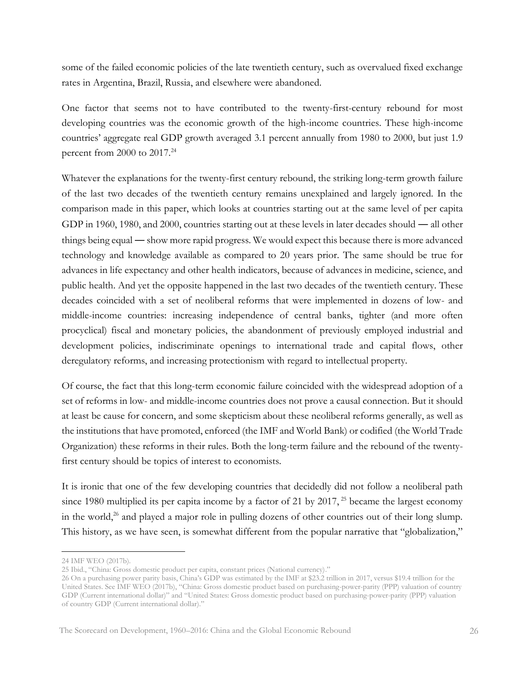some of the failed economic policies of the late twentieth century, such as overvalued fixed exchange rates in Argentina, Brazil, Russia, and elsewhere were abandoned.

One factor that seems not to have contributed to the twenty-first-century rebound for most developing countries was the economic growth of the high-income countries. These high-income countries' aggregate real GDP growth averaged 3.1 percent annually from 1980 to 2000, but just 1.9 percent from 2000 to 2017.<sup>24</sup>

Whatever the explanations for the twenty-first century rebound, the striking long-term growth failure of the last two decades of the twentieth century remains unexplained and largely ignored. In the comparison made in this paper, which looks at countries starting out at the same level of per capita GDP in 1960, 1980, and 2000, countries starting out at these levels in later decades should ― all other things being equal ― show more rapid progress. We would expect this because there is more advanced technology and knowledge available as compared to 20 years prior. The same should be true for advances in life expectancy and other health indicators, because of advances in medicine, science, and public health. And yet the opposite happened in the last two decades of the twentieth century. These decades coincided with a set of neoliberal reforms that were implemented in dozens of low- and middle-income countries: increasing independence of central banks, tighter (and more often procyclical) fiscal and monetary policies, the abandonment of previously employed industrial and development policies, indiscriminate openings to international trade and capital flows, other deregulatory reforms, and increasing protectionism with regard to intellectual property.

Of course, the fact that this long-term economic failure coincided with the widespread adoption of a set of reforms in low- and middle-income countries does not prove a causal connection. But it should at least be cause for concern, and some skepticism about these neoliberal reforms generally, as well as the institutions that have promoted, enforced (the IMF and World Bank) or codified (the World Trade Organization) these reforms in their rules. Both the long-term failure and the rebound of the twentyfirst century should be topics of interest to economists.

It is ironic that one of the few developing countries that decidedly did not follow a neoliberal path since 1980 multiplied its per capita income by a factor of 21 by 2017,  $^{25}$  became the largest economy in the world,<sup>26</sup> and played a major role in pulling dozens of other countries out of their long slump. This history, as we have seen, is somewhat different from the popular narrative that "globalization,"

<sup>24</sup> IMF WEO (2017b).

<sup>25</sup> Ibid., "China: Gross domestic product per capita, constant prices (National currency)."

<sup>26</sup> On a purchasing power parity basis, China's GDP was estimated by the IMF at \$23.2 trillion in 2017, versus \$19.4 trillion for the United States. See IMF WEO (2017b), "China: Gross domestic product based on purchasing-power-parity (PPP) valuation of country GDP (Current international dollar)" and "United States: Gross domestic product based on purchasing-power-parity (PPP) valuation of country GDP (Current international dollar)."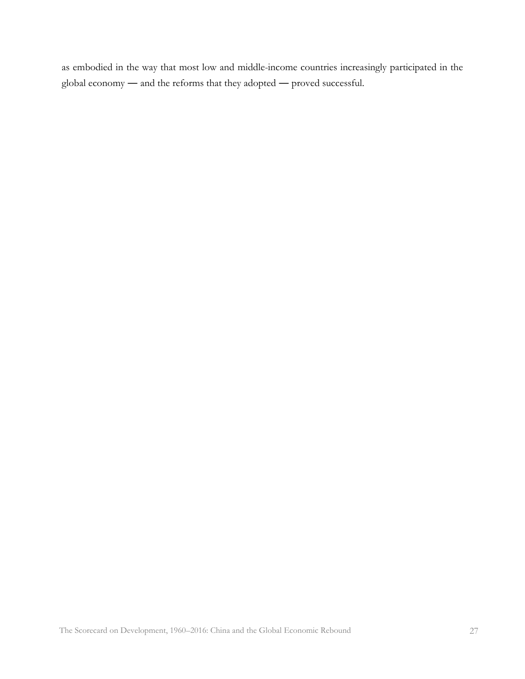as embodied in the way that most low and middle-income countries increasingly participated in the global economy ― and the reforms that they adopted ― proved successful.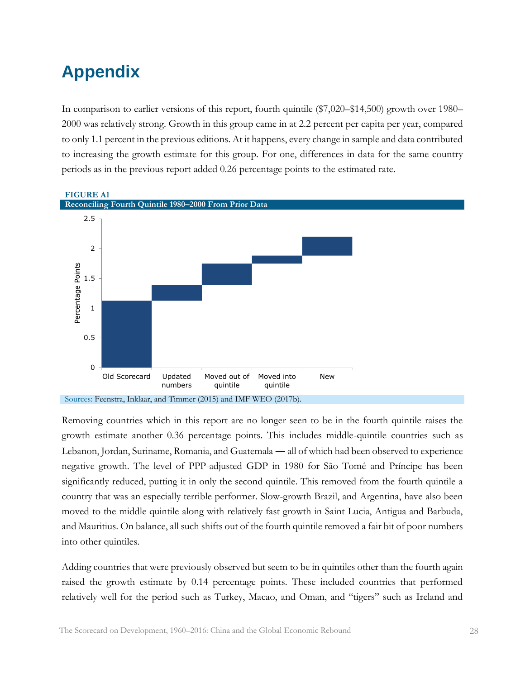## <span id="page-29-0"></span>**Appendix**

In comparison to earlier versions of this report, fourth quintile (\$7,020–\$14,500) growth over 1980– 2000 was relatively strong. Growth in this group came in at 2.2 percent per capita per year, compared to only 1.1 percent in the previous editions. At it happens, every change in sample and data contributed to increasing the growth estimate for this group. For one, differences in data for the same country periods as in the previous report added 0.26 percentage points to the estimated rate.



Removing countries which in this report are no longer seen to be in the fourth quintile raises the growth estimate another 0.36 percentage points. This includes middle-quintile countries such as Lebanon, Jordan, Suriname, Romania, and Guatemala ― all of which had been observed to experience negative growth. The level of PPP-adjusted GDP in 1980 for São Tomé and Príncipe has been significantly reduced, putting it in only the second quintile. This removed from the fourth quintile a country that was an especially terrible performer. Slow-growth Brazil, and Argentina, have also been moved to the middle quintile along with relatively fast growth in Saint Lucia, Antigua and Barbuda, and Mauritius. On balance, all such shifts out of the fourth quintile removed a fair bit of poor numbers into other quintiles.

Adding countries that were previously observed but seem to be in quintiles other than the fourth again raised the growth estimate by 0.14 percentage points. These included countries that performed relatively well for the period such as Turkey, Macao, and Oman, and "tigers" such as Ireland and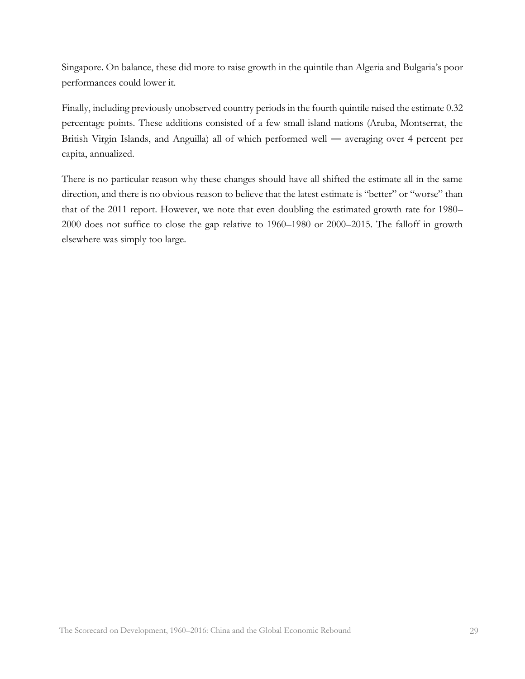Singapore. On balance, these did more to raise growth in the quintile than Algeria and Bulgaria's poor performances could lower it.

Finally, including previously unobserved country periods in the fourth quintile raised the estimate 0.32 percentage points. These additions consisted of a few small island nations (Aruba, Montserrat, the British Virgin Islands, and Anguilla) all of which performed well ― averaging over 4 percent per capita, annualized.

There is no particular reason why these changes should have all shifted the estimate all in the same direction, and there is no obvious reason to believe that the latest estimate is "better" or "worse" than that of the 2011 report. However, we note that even doubling the estimated growth rate for 1980– 2000 does not suffice to close the gap relative to 1960–1980 or 2000–2015. The falloff in growth elsewhere was simply too large.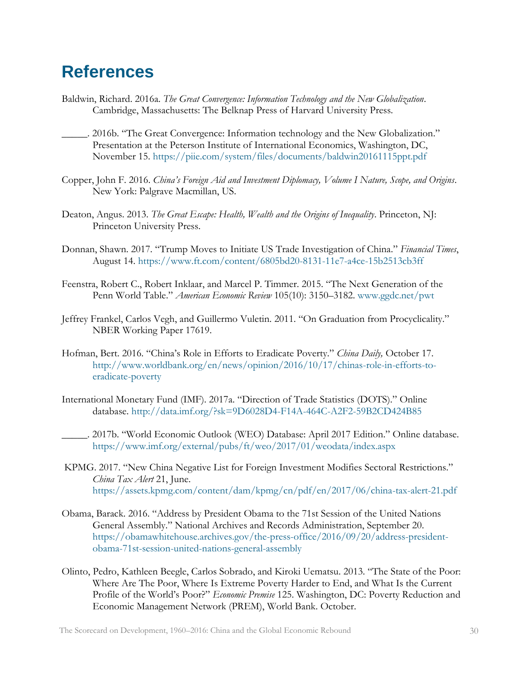### <span id="page-31-0"></span>**References**

- Baldwin, Richard. 2016a. *The Great Convergence: Information Technology and the New Globalization*. Cambridge, Massachusetts: The Belknap Press of Harvard University Press.
	- \_\_\_\_\_. 2016b. "The Great Convergence: Information technology and the New Globalization." Presentation at the Peterson Institute of International Economics, Washington, DC, November 15.<https://piie.com/system/files/documents/baldwin20161115ppt.pdf>
- Copper, John F. 2016. *China's Foreign Aid and Investment Diplomacy, Volume I Nature, Scope, and Origins*. New York: Palgrave Macmillan, US.
- Deaton, Angus. 2013. *The Great Escape: Health, Wealth and the Origins of Inequality*. Princeton, NJ: Princeton University Press.
- Donnan, Shawn. 2017. "Trump Moves to Initiate US Trade Investigation of China." *Financial Times*, August 14. <https://www.ft.com/content/6805bd20-8131-11e7-a4ce-15b2513cb3ff>
- Feenstra, Robert C., Robert Inklaar, and Marcel P. Timmer. 2015. "The Next Generation of the Penn World Table." *American Economic Review* 105(10): 3150–3182. [www.ggdc.net/pwt](http://www.rug.nl/ggdc/productivity/pwt/related-research)
- Jeffrey Frankel, Carlos Vegh, and Guillermo Vuletin. 2011. "On Graduation from Procyclicality." NBER Working Paper 17619.
- Hofman, Bert. 2016. "China's Role in Efforts to Eradicate Poverty." *China Daily,* October 17. [http://www.worldbank.org/en/news/opinion/2016/10/17/chinas-role-in-efforts-to](http://www.worldbank.org/en/news/opinion/2016/10/17/chinas-role-in-efforts-to-eradicate-poverty)[eradicate-poverty](http://www.worldbank.org/en/news/opinion/2016/10/17/chinas-role-in-efforts-to-eradicate-poverty)
- International Monetary Fund (IMF). 2017a. "Direction of Trade Statistics (DOTS)." Online database.<http://data.imf.org/?sk=9D6028D4-F14A-464C-A2F2-59B2CD424B85>
	- \_\_\_\_\_. 2017b. "World Economic Outlook (WEO) Database: April 2017 Edition." Online database. <https://www.imf.org/external/pubs/ft/weo/2017/01/weodata/index.aspx>
- KPMG. 2017. "New China Negative List for Foreign Investment Modifies Sectoral Restrictions." *China Tax Alert* 21, June. <https://assets.kpmg.com/content/dam/kpmg/cn/pdf/en/2017/06/china-tax-alert-21.pdf>
- Obama, Barack. 2016. "Address by President Obama to the 71st Session of the United Nations General Assembly." National Archives and Records Administration, September 20. [https://obamawhitehouse.archives.gov/the-press-office/2016/09/20/address-president](https://obamawhitehouse.archives.gov/the-press-office/2016/09/20/address-president-obama-71st-session-united-nations-general-assembly)[obama-71st-session-united-nations-general-assembly](https://obamawhitehouse.archives.gov/the-press-office/2016/09/20/address-president-obama-71st-session-united-nations-general-assembly)
- Olinto, Pedro, Kathleen Beegle, Carlos Sobrado, and Kiroki Uematsu. 2013. "The State of the Poor: Where Are The Poor, Where Is Extreme Poverty Harder to End, and What Is the Current Profile of the World's Poor?" *Economic Premise* 125. Washington, DC: Poverty Reduction and Economic Management Network (PREM), World Bank. October.

The Scorecard on Development, 1960–2016: China and the Global Economic Rebound 30